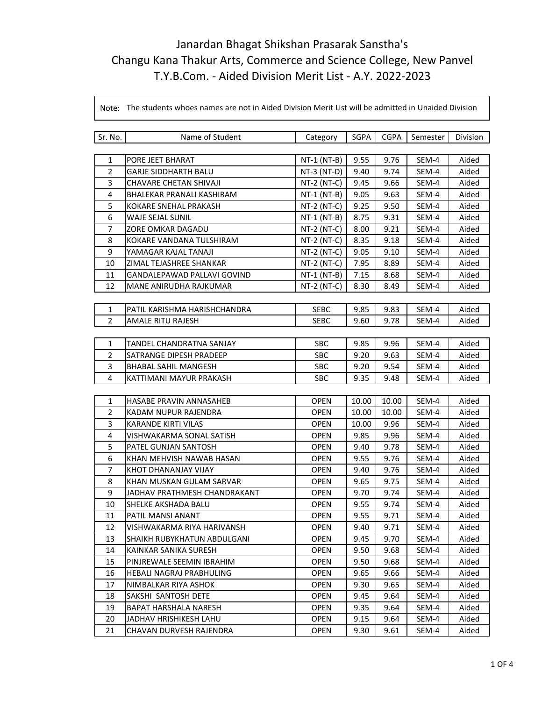| Sr. No.        | Name of Student                 | Category      | SGPA  | <b>CGPA</b> | Semester | Division |
|----------------|---------------------------------|---------------|-------|-------------|----------|----------|
|                |                                 |               |       |             |          |          |
| 1              | PORE JEET BHARAT                | $NT-1$ (NT-B) | 9.55  | 9.76        | SEM-4    | Aided    |
| $\overline{2}$ | <b>GARJE SIDDHARTH BALU</b>     | NT-3 (NT-D)   | 9.40  | 9.74        | SEM-4    | Aided    |
| 3              | <b>CHAVARE CHETAN SHIVAJI</b>   | $NT-2 (NT-C)$ | 9.45  | 9.66        | SEM-4    | Aided    |
| $\overline{4}$ | BHALEKAR PRANALI KASHIRAM       | $NT-1$ (NT-B) | 9.05  | 9.63        | SEM-4    | Aided    |
| 5              | KOKARE SNEHAL PRAKASH           | NT-2 (NT-C)   | 9.25  | 9.50        | SEM-4    | Aided    |
| 6              | WAJE SEJAL SUNIL                | $NT-1$ (NT-B) | 8.75  | 9.31        | SEM-4    | Aided    |
| 7              | ZORE OMKAR DAGADU               | $NT-2 (NT-C)$ | 8.00  | 9.21        | SEM-4    | Aided    |
| 8              | KOKARE VANDANA TULSHIRAM        | $NT-2 (NT-C)$ | 8.35  | 9.18        | SEM-4    | Aided    |
| 9              | YAMAGAR KAJAL TANAJI            | $NT-2$ (NT-C) | 9.05  | 9.10        | SEM-4    | Aided    |
| 10             | ZIMAL TEJASHREE SHANKAR         | $NT-2 (NT-C)$ | 7.95  | 8.89        | SEM-4    | Aided    |
| 11             | GANDALEPAWAD PALLAVI GOVIND     | NT-1 (NT-B)   | 7.15  | 8.68        | SEM-4    | Aided    |
| 12             | MANE ANIRUDHA RAJKUMAR          | $NT-2$ (NT-C) | 8.30  | 8.49        | SEM-4    | Aided    |
|                |                                 |               |       |             |          |          |
| 1              | PATIL KARISHMA HARISHCHANDRA    | SEBC          | 9.85  | 9.83        | SEM-4    | Aided    |
| $\overline{2}$ | AMALE RITU RAJESH               | <b>SEBC</b>   | 9.60  | 9.78        | SEM-4    | Aided    |
|                |                                 |               |       |             |          |          |
| 1              | <b>TANDEL CHANDRATNA SANJAY</b> | <b>SBC</b>    | 9.85  | 9.96        | SEM-4    | Aided    |
| $\overline{2}$ | SATRANGE DIPESH PRADEEP         | <b>SBC</b>    | 9.20  | 9.63        | SEM-4    | Aided    |
| 3              | BHABAL SAHIL MANGESH            | <b>SBC</b>    | 9.20  | 9.54        | SEM-4    | Aided    |
| 4              | KATTIMANI MAYUR PRAKASH         | <b>SBC</b>    | 9.35  | 9.48        | SEM-4    | Aided    |
|                |                                 |               |       |             |          |          |
| 1              | HASABE PRAVIN ANNASAHEB         | <b>OPEN</b>   | 10.00 | 10.00       | SEM-4    | Aided    |
| $\overline{2}$ | KADAM NUPUR RAJENDRA            | <b>OPEN</b>   | 10.00 | 10.00       | SEM-4    | Aided    |
| 3              | <b>KARANDE KIRTI VILAS</b>      | <b>OPEN</b>   | 10.00 | 9.96        | SEM-4    | Aided    |
| 4              | VISHWAKARMA SONAL SATISH        | <b>OPEN</b>   | 9.85  | 9.96        | SEM-4    | Aided    |
| 5              | PATEL GUNJAN SANTOSH            | <b>OPEN</b>   | 9.40  | 9.78        | SEM-4    | Aided    |
| 6              | KHAN MEHVISH NAWAB HASAN        | <b>OPEN</b>   | 9.55  | 9.76        | SEM-4    | Aided    |
| 7              | KHOT DHANANJAY VIJAY            | OPEN          | 9.40  | 9.76        | SEM-4    | Aided    |
| 8              | KHAN MUSKAN GULAM SARVAR        | <b>OPEN</b>   | 9.65  | 9.75        | SEM-4    | Aided    |
| 9              | JADHAV PRATHMESH CHANDRAKANT    | <b>OPEN</b>   | 9.70  | 9.74        | SEM-4    | Aided    |
| 10             | SHELKE AKSHADA BALU             | <b>OPEN</b>   | 9.55  | 9.74        | SEM-4    | Aided    |
| 11             | PATIL MANSI ANANT               | <b>OPEN</b>   | 9.55  | 9.71        | SEM-4    | Aided    |
| 12             | VISHWAKARMA RIYA HARIVANSH      | OPEN          | 9.40  | 9.71        | SEM-4    | Aided    |
| 13             | SHAIKH RUBYKHATUN ABDULGANI     | <b>OPEN</b>   | 9.45  | 9.70        | SEM-4    | Aided    |
| 14             | KAINKAR SANIKA SURESH           | <b>OPEN</b>   | 9.50  | 9.68        | SEM-4    | Aided    |
| 15             | PINJREWALE SEEMIN IBRAHIM       | <b>OPEN</b>   | 9.50  | 9.68        | SEM-4    | Aided    |
| 16             | HEBALI NAGRAJ PRABHULING        | OPEN          | 9.65  | 9.66        | SEM-4    | Aided    |
| 17             | NIMBALKAR RIYA ASHOK            | OPEN          | 9.30  | 9.65        | SEM-4    | Aided    |
| 18             | SAKSHI SANTOSH DETE             | <b>OPEN</b>   | 9.45  | 9.64        | SEM-4    | Aided    |
| 19             | BAPAT HARSHALA NARESH           | <b>OPEN</b>   | 9.35  | 9.64        | SEM-4    | Aided    |
| 20             | JADHAV HRISHIKESH LAHU          | OPEN          | 9.15  | 9.64        | SEM-4    | Aided    |
| 21             | CHAVAN DURVESH RAJENDRA         | <b>OPEN</b>   | 9.30  | 9.61        | SEM-4    | Aided    |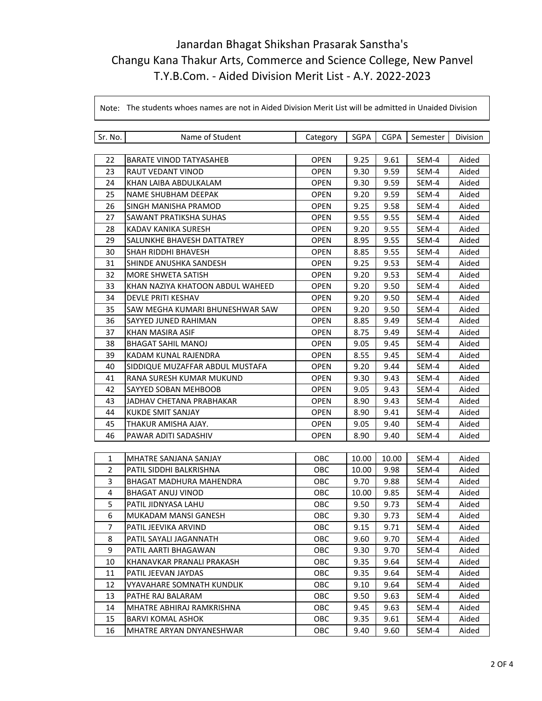| Sr. No.        | Name of Student                   | Category    | <b>SGPA</b> | <b>CGPA</b> | Semester | Division |
|----------------|-----------------------------------|-------------|-------------|-------------|----------|----------|
|                |                                   |             |             |             |          |          |
| 22             | <b>BARATE VINOD TATYASAHEB</b>    | <b>OPEN</b> | 9.25        | 9.61        | SEM-4    | Aided    |
| 23             | RAUT VEDANT VINOD                 | <b>OPEN</b> | 9.30        | 9.59        | SEM-4    | Aided    |
| 24             | KHAN LAIBA ABDULKALAM             | <b>OPEN</b> | 9.30        | 9.59        | SEM-4    | Aided    |
| 25             | <b>NAME SHUBHAM DEEPAK</b>        | <b>OPEN</b> | 9.20        | 9.59        | SEM-4    | Aided    |
| 26             | SINGH MANISHA PRAMOD              | OPEN        | 9.25        | 9.58        | SEM-4    | Aided    |
| 27             | SAWANT PRATIKSHA SUHAS            | OPEN        | 9.55        | 9.55        | SEM-4    | Aided    |
| 28             | KADAV KANIKA SURESH               | <b>OPEN</b> | 9.20        | 9.55        | SEM-4    | Aided    |
| 29             | <b>SALUNKHE BHAVESH DATTATREY</b> | <b>OPEN</b> | 8.95        | 9.55        | SEM-4    | Aided    |
| 30             | <b>SHAH RIDDHI BHAVESH</b>        | <b>OPEN</b> | 8.85        | 9.55        | SEM-4    | Aided    |
| 31             | SHINDE ANUSHKA SANDESH            | <b>OPEN</b> | 9.25        | 9.53        | SEM-4    | Aided    |
| 32             | MORE SHWETA SATISH                | <b>OPEN</b> | 9.20        | 9.53        | SEM-4    | Aided    |
| 33             | KHAN NAZIYA KHATOON ABDUL WAHEED  | <b>OPEN</b> | 9.20        | 9.50        | SEM-4    | Aided    |
| 34             | DEVLE PRITI KESHAV                | OPEN        | 9.20        | 9.50        | SEM-4    | Aided    |
| 35             | SAW MEGHA KUMARI BHUNESHWAR SAW   | <b>OPEN</b> | 9.20        | 9.50        | SEM-4    | Aided    |
| 36             | SAYYED JUNED RAHIMAN              | <b>OPEN</b> | 8.85        | 9.49        | SEM-4    | Aided    |
| 37             | KHAN MASIRA ASIF                  | <b>OPEN</b> | 8.75        | 9.49        | SEM-4    | Aided    |
| 38             | <b>BHAGAT SAHIL MANOJ</b>         | <b>OPEN</b> | 9.05        | 9.45        | SEM-4    | Aided    |
| 39             | KADAM KUNAL RAJENDRA              | <b>OPEN</b> | 8.55        | 9.45        | SEM-4    | Aided    |
| 40             | SIDDIQUE MUZAFFAR ABDUL MUSTAFA   | OPEN        | 9.20        | 9.44        | SEM-4    | Aided    |
| 41             | RANA SURESH KUMAR MUKUND          | <b>OPEN</b> | 9.30        | 9.43        | SEM-4    | Aided    |
| 42             | SAYYED SOBAN MEHBOOB              | <b>OPEN</b> | 9.05        | 9.43        | SEM-4    | Aided    |
| 43             | JADHAV CHETANA PRABHAKAR          | OPEN        | 8.90        | 9.43        | SEM-4    | Aided    |
| 44             | <b>KUKDE SMIT SANJAY</b>          | <b>OPEN</b> | 8.90        | 9.41        | SEM-4    | Aided    |
| 45             | THAKUR AMISHA AJAY.               | <b>OPEN</b> | 9.05        | 9.40        | SEM-4    | Aided    |
| 46             | PAWAR ADITI SADASHIV              | OPEN        | 8.90        | 9.40        | SEM-4    | Aided    |
|                |                                   |             |             |             |          |          |
| 1              | MHATRE SANJANA SANJAY             | <b>OBC</b>  | 10.00       | 10.00       | SEM-4    | Aided    |
| $\overline{2}$ | PATIL SIDDHI BALKRISHNA           | OBC         | 10.00       | 9.98        | SEM-4    | Aided    |
| 3              | <b>BHAGAT MADHURA MAHENDRA</b>    | OBC         | 9.70        | 9.88        | SEM-4    | Aided    |
| $\overline{4}$ | <b>BHAGAT ANUJ VINOD</b>          | OBC         | 10.00       | 9.85        | SEM-4    | Aided    |
| 5              | PATIL JIDNYASA LAHU               | OBC         | 9.50        | 9.73        | SEM-4    | Aided    |
| 6              | MUKADAM MANSI GANESH              | OBC         | 9.30        | 9.73        | SEM-4    | Aided    |
| 7              | PATIL JEEVIKA ARVIND              | OBC         | 9.15        | 9.71        | SEM-4    | Aided    |
| 8              | PATIL SAYALI JAGANNATH            | OBC         | 9.60        | 9.70        | SEM-4    | Aided    |
| 9              | PATIL AARTI BHAGAWAN              | OBC         | 9.30        | 9.70        | SEM-4    | Aided    |
| 10             | KHANAVKAR PRANALI PRAKASH         | OBC         | 9.35        | 9.64        | SEM-4    | Aided    |
| 11             | PATIL JEEVAN JAYDAS               | OBC         | 9.35        | 9.64        | SEM-4    | Aided    |
| 12             | VYAVAHARE SOMNATH KUNDLIK         | OBC         | 9.10        | 9.64        | SEM-4    | Aided    |
| 13             | PATHE RAJ BALARAM                 | OBC         | 9.50        | 9.63        | SEM-4    | Aided    |
| 14             | MHATRE ABHIRAJ RAMKRISHNA         | OBC         | 9.45        | 9.63        | SEM-4    | Aided    |
| 15             | <b>BARVI KOMAL ASHOK</b>          | <b>OBC</b>  | 9.35        | 9.61        | SEM-4    | Aided    |
| 16             | MHATRE ARYAN DNYANESHWAR          | <b>OBC</b>  | 9.40        | 9.60        | SEM-4    | Aided    |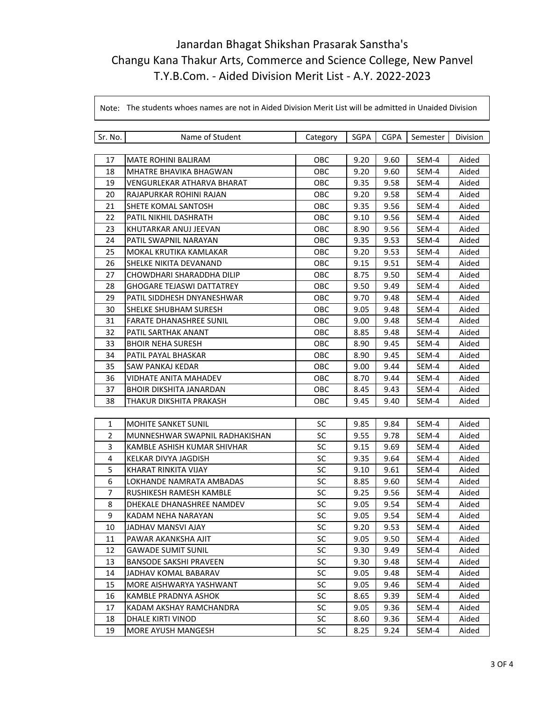| Sr. No.        | Name of Student                   | Category  | SGPA | <b>CGPA</b> | Semester | Division |
|----------------|-----------------------------------|-----------|------|-------------|----------|----------|
|                |                                   |           |      |             |          |          |
| 17             | <b>MATE ROHINI BALIRAM</b>        | OBC       | 9.20 | 9.60        | SEM-4    | Aided    |
| 18             | <b>MHATRE BHAVIKA BHAGWAN</b>     | OBC       | 9.20 | 9.60        | SEM-4    | Aided    |
| 19             | <b>VENGURLEKAR ATHARVA BHARAT</b> | OBC       | 9.35 | 9.58        | SEM-4    | Aided    |
| 20             | RAJAPURKAR ROHINI RAJAN           | OBC       | 9.20 | 9.58        | SEM-4    | Aided    |
| 21             | SHETE KOMAL SANTOSH               | OBC       | 9.35 | 9.56        | SEM-4    | Aided    |
| 22             | PATIL NIKHIL DASHRATH             | OBC       | 9.10 | 9.56        | SEM-4    | Aided    |
| 23             | KHUTARKAR ANUJ JEEVAN             | OBC       | 8.90 | 9.56        | SEM-4    | Aided    |
| 24             | PATIL SWAPNIL NARAYAN             | OBC       | 9.35 | 9.53        | SEM-4    | Aided    |
| 25             | MOKAL KRUTIKA KAMLAKAR            | OBC       | 9.20 | 9.53        | SEM-4    | Aided    |
| 26             | SHELKE NIKITA DEVANAND            | OBC       | 9.15 | 9.51        | SEM-4    | Aided    |
| 27             | CHOWDHARI SHARADDHA DILIP         | OBC       | 8.75 | 9.50        | SEM-4    | Aided    |
| 28             | GHOGARE TEJASWI DATTATREY         | OBC       | 9.50 | 9.49        | SEM-4    | Aided    |
| 29             | PATIL SIDDHESH DNYANESHWAR        | OBC       | 9.70 | 9.48        | SEM-4    | Aided    |
| 30             | SHELKE SHUBHAM SURESH             | OBC       | 9.05 | 9.48        | SEM-4    | Aided    |
| 31             | <b>FARATE DHANASHREE SUNIL</b>    | OBC       | 9.00 | 9.48        | SEM-4    | Aided    |
| 32             | PATIL SARTHAK ANANT               | OBC       | 8.85 | 9.48        | SEM-4    | Aided    |
| 33             | <b>BHOIR NEHA SURESH</b>          | OBC       | 8.90 | 9.45        | SEM-4    | Aided    |
| 34             | PATIL PAYAL BHASKAR               | OBC       | 8.90 | 9.45        | SEM-4    | Aided    |
| 35             | SAW PANKAJ KEDAR                  | OBC       | 9.00 | 9.44        | SEM-4    | Aided    |
| 36             | <b>VIDHATE ANITA MAHADEV</b>      | OBC       | 8.70 | 9.44        | SEM-4    | Aided    |
| 37             | <b>BHOIR DIKSHITA JANARDAN</b>    | OBC       | 8.45 | 9.43        | SEM-4    | Aided    |
| 38             | THAKUR DIKSHITA PRAKASH           | OBC       | 9.45 | 9.40        | SEM-4    | Aided    |
|                |                                   |           |      |             |          |          |
| $\mathbf{1}$   | <b>MOHITE SANKET SUNIL</b>        | <b>SC</b> | 9.85 | 9.84        | SEM-4    | Aided    |
| $\overline{2}$ | MUNNESHWAR SWAPNIL RADHAKISHAN    | <b>SC</b> | 9.55 | 9.78        | SEM-4    | Aided    |
| 3              | KAMBLE ASHISH KUMAR SHIVHAR       | <b>SC</b> | 9.15 | 9.69        | SEM-4    | Aided    |
| 4              | KELKAR DIVYA JAGDISH              | <b>SC</b> | 9.35 | 9.64        | SEM-4    | Aided    |
| 5              | KHARAT RINKITA VIJAY              | <b>SC</b> | 9.10 | 9.61        | SEM-4    | Aided    |
| 6              | LOKHANDE NAMRATA AMBADAS          | SC        | 8.85 | 9.60        | SEM-4    | Aided    |
| $\overline{7}$ | RUSHIKESH RAMESH KAMBLE           | SC        | 9.25 | 9.56        | SEM-4    | Aided    |
| 8              | DHEKALE DHANASHREE NAMDEV         | <b>SC</b> | 9.05 | 9.54        | SEM-4    | Aided    |
| 9              | KADAM NEHA NARAYAN                | SC        | 9.05 | 9.54        | SEM-4    | Aided    |
| $10\,$         | JADHAV MANSVI AJAY                | SC        | 9.20 | 9.53        | SEM-4    | Aided    |
| 11             | PAWAR AKANKSHA AJIT               | <b>SC</b> | 9.05 | 9.50        | SEM-4    | Aided    |
| 12             | <b>GAWADE SUMIT SUNIL</b>         | SC        | 9.30 | 9.49        | SEM-4    | Aided    |
| 13             | <b>BANSODE SAKSHI PRAVEEN</b>     | <b>SC</b> | 9.30 | 9.48        | SEM-4    | Aided    |
| 14             | JADHAV KOMAL BABARAV              | <b>SC</b> | 9.05 | 9.48        | SEM-4    | Aided    |
| 15             | MORE AISHWARYA YASHWANT           | SC        | 9.05 | 9.46        | SEM-4    | Aided    |
| 16             | KAMBLE PRADNYA ASHOK              | SC        | 8.65 | 9.39        | SEM-4    | Aided    |
| 17             | KADAM AKSHAY RAMCHANDRA           | <b>SC</b> | 9.05 | 9.36        | SEM-4    | Aided    |
| 18             | DHALE KIRTI VINOD                 | <b>SC</b> | 8.60 | 9.36        | SEM-4    | Aided    |
| 19             | MORE AYUSH MANGESH                | <b>SC</b> | 8.25 | 9.24        | SEM-4    | Aided    |